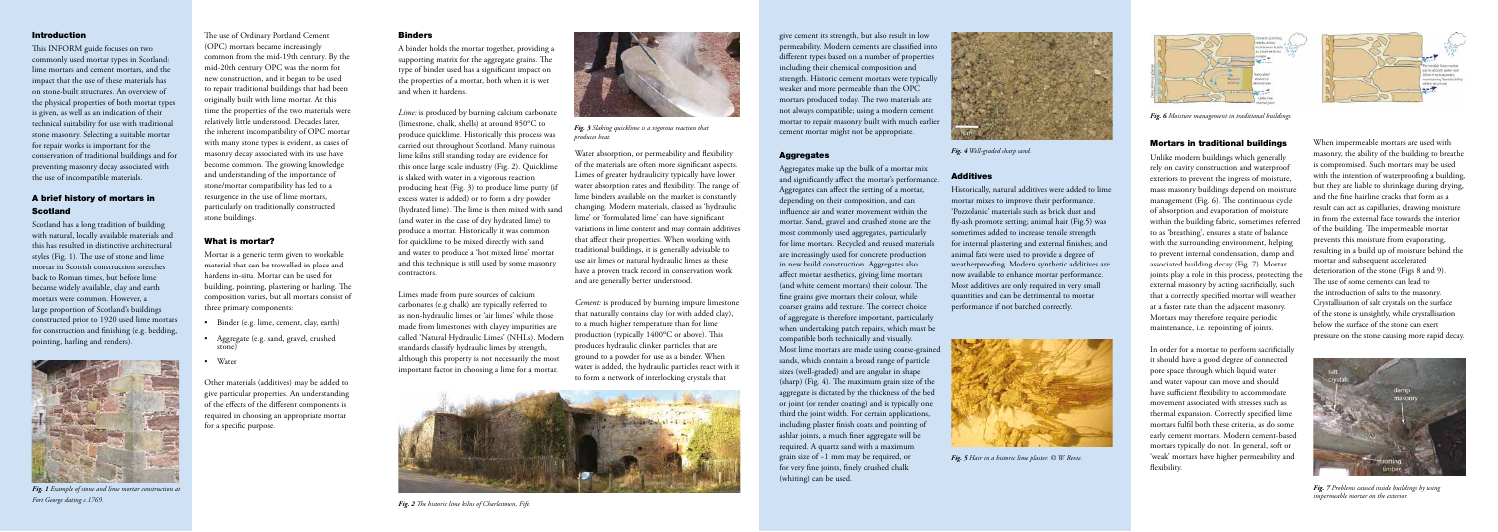A binder holds the mortar together, providing a supporting matrix for the aggregate grains. The type of binder used has a significant impact on the properties of a mortar, both when it is wet and when it hardens.

*Lime:* is produced by burning calcium carbonate (limestone, chalk, shells) at around 850ºC to produce quicklime. Historically this process was carried out throughout Scotland. Many ruinous lime kilns still standing today are evidence for this once large scale industry (Fig. 2). Quicklime is slaked with water in a vigorous reaction producing heat (Fig. 3) to produce lime putty (if excess water is added) or to form a dry powder (hydrated lime). The lime is then mixed with sand (and water in the case of dry hydrated lime) to produce a mortar. Historically it was common for quicklime to be mixed directly with sand and water to produce a 'hot mixed lime' mortar and this technique is still used by some masonry contractors.

Limes made from pure sources of calcium carbonates (e.g chalk) are typically referred to as non-hydraulic limes or 'air limes' while those made from limestones with clayey impurities are called 'Natural Hydraulic Limes' (NHLs). Modern standards classify hydraulic limes by strength, although this property is not necessarily the most important factor in choosing a lime for a mortar.

Water absorption, or permeability and flexibility of the materials are often more significant aspects. Limes of greater hydraulicity typically have lower water absorption rates and flexibility. The range of lime binders available on the market is constantly changing. Modern materials, classed as 'hydraulic lime' or 'formulated lime' can have significant variations in lime content and may contain additives that affect their properties. When working with traditional buildings, it is generally advisable to use air limes or natural hydraulic limes as these have a proven track record in conservation work and are generally better understood.

*Cement:* is produced by burning impure limestone that naturally contains clay (or with added clay), to a much higher temperature than for lime production (typically 1400ºC or above). This produces hydraulic clinker particles that are ground to a powder for use as a binder. When water is added, the hydraulic particles react with it to form a network of interlocking crystals that

### Introduction

This INFORM guide focuses on two commonly used mortar types in Scotland: lime mortars and cement mortars, and the impact that the use of these materials has on stone-built structures. An overview of the physical properties of both mortar types is given, as well as an indication of their technical suitability for use with traditional stone masonry. Selecting a suitable mortar for repair works is important for the conservation of traditional buildings and for preventing masonry decay associated with the use of incompatible materials.

# A brief history of mortars in Scotland

Scotland has a long tradition of building with natural, locally available materials and this has resulted in distinctive architectural styles (Fig. 1). The use of stone and lime mortar in Scottish construction stretches back to Roman times, but before lime became widely available, clay and earth mortars were common. However, a large proportion of Scotland's buildings constructed prior to 1920 used lime mortars for construction and finishing (e.g. bedding, pointing, harling and renders).

The use of Ordinary Portland Cement (OPC) mortars became increasingly common from the mid-19th century. By the mid-20th century OPC was the norm for new construction, and it began to be used to repair traditional buildings that had been originally built with lime mortar. At this time the properties of the two materials were relatively little understood. Decades later, the inherent incompatibility of OPC mortar with many stone types is evident, as cases of masonry decay associated with its use have become common. The growing knowledge and understanding of the importance of stone/mortar compatibility has led to a resurgence in the use of lime mortars, particularly on traditionally constructed stone buildings.

### What is mortar?

Mortar is a generic term given to workable material that can be trowelled in place and hardens in-situ. Mortar can be used for building, pointing, plastering or harling. The composition varies, but all mortars consist of three primary components:

- Binder (e.g. lime, cement, clay, earth)
- Aggregate (e.g. sand, gravel, crushed stone)
- Water

Other materials (additives) may be added to give particular properties. An understanding of the effects of the different components is required in choosing an appropriate mortar for a specific purpose.

# **Binders**

give cement its strength, but also result in low permeability. Modern cements are classified into different types based on a number of properties including their chemical composition and strength. Historic cement mortars were typically weaker and more permeable than the OPC mortars produced today. The two materials are not always compatible; using a modern cement mortar to repair masonry built with much earlier cement mortar might not be appropriate.

### **Aggregates**

Aggregates make up the bulk of a mortar mix and significantly affect the mortar's performance. Aggregates can affect the setting of a mortar, depending on their composition, and can influence air and water movement within the mortar. Sand, gravel and crushed stone are the most commonly used aggregates, particularly for lime mortars. Recycled and reused materials are increasingly used for concrete production in new build construction. Aggregates also affect mortar aesthetics, giving lime mortars (and white cement mortars) their colour. The fine grains give mortars their colour, while coarser grains add texture. The correct choice of aggregate is therefore important, particularly when undertaking patch repairs, which must be compatible both technically and visually. Most lime mortars are made using coarse-grained sands, which contain a broad range of particle sizes (well-graded) and are angular in shape (sharp) (Fig. 4). The maximum grain size of the aggregate is dictated by the thickness of the bed or joint (or render coating) and is typically one third the joint width. For certain applications, including plaster finish coats and pointing of ashlar joints, a much finer aggregate will be required. A quartz sand with a maximum grain size of ~1 mm may be required, or for very fine joints, finely crushed chalk (whiting) can be used.

# Additives

Historically, natural additives were added to lime mortar mixes to improve their performance. 'Pozzolanic' materials such as brick dust and fly-ash promote setting; animal hair (Fig.5) was sometimes added to increase tensile strength for internal plastering and external finishes; and animal fats were used to provide a degree of weatherproofing. Modern synthetic additives are now available to enhance mortar performance. Most additives are only required in very small quantities and can be detrimental to mortar performance if not batched correctly.

#### Mortars in traditional buildings

Unlike modern buildings which generally rely on cavity construction and waterproof exteriors to prevent the ingress of moisture, mass masonry buildings depend on moisture management (Fig. 6). The continuous cycle of absorption and evaporation of moisture within the building fabric, sometimes referred to as 'breathing', ensures a state of balance with the surrounding environment, helping to prevent internal condensation, damp and associated building decay (Fig. 7). Mortar joints play a role in this process, protecting the external masonry by acting sacrificially, such that a correctly specified mortar will weather at a faster rate than the adjacent masonry. Mortars may therefore require periodic maintenance, i.e. repointing of joints.

In order for a mortar to perform sacrificially it should have a good degree of connected pore space through which liquid water and water vapour can move and should have sufficient flexibility to accommodate movement associated with stresses such as thermal expansion. Correctly specified lime mortars fulfil both these criteria, as do some early cement mortars. Modern cement-based mortars typically do not. In general, soft or 'weak' mortars have higher permeability and flexibility.



When impermeable mortars are used with masonry, the ability of the building to breathe is compromised. Such mortars may be used with the intention of waterproofing a building, but they are liable to shrinkage during drying, and the fine hairline cracks that form as a result can act as capillaries, drawing moisture in from the external face towards the interior of the building. The impermeable mortar prevents this moisture from evaporating, resulting in a build up of moisture behind the mortar and subsequent accelerated deterioration of the stone (Figs 8 and 9). The use of some cements can lead to the introduction of salts to the masonry. Crystallisation of salt crystals on the surface of the stone is unsightly, while crystallisation below the surface of the stone can exert pressure on the stone causing more rapid decay.



*Fig. 2 The historic lime kilns of Charlestown, Fife.*



*Fig. 4 Well-graded sharp sand.* 



*Fig. 6 Moisture management in traditional buildings.* 



*Fig. 7 Problems caused inside buildings by using impermeable mortar on the exterior.* 



*Fig. 1 Example of stone and lime mortar construction at Fort George dating c.1769.*



*Fig. 3 Slaking quicklime is a vigorous reaction that produces heat.*



*Fig. 5 Hair in a historic lime plaster. © W. Revie.*